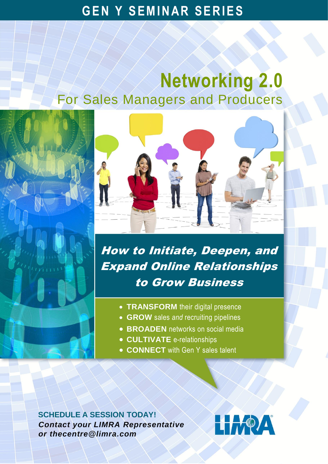## **GEN Y SEMINAR SERIES**

## **Networking 2.0** For Sales Managers and Producers



How to Initiate, Deepen, and Expand Online Relationships to Grow Business

- **TRANSFORM** their digital presence
- **GROW** sales *and* recruiting pipelines
- **BROADEN** networks on social media
- **CULTIVATE** e-relationships
- **CONNECT** with Gen Y sales talent

**SCHEDULE A SESSION TODAY!** *[Contact your LIMRA R](mailto:thecentre@limra.com)epresentative or thecentre@limra.com*

# **LIMPA**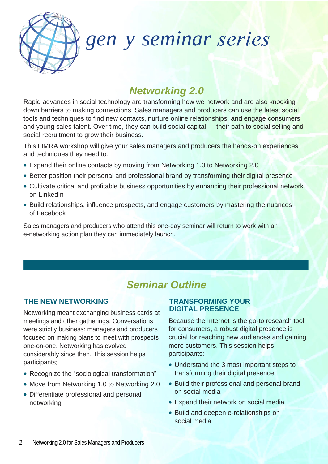

## *gen y seminar*

## *Networking 2.0*

Rapid advances in social technology are transforming how we network and are also knocking down barriers to making connections. Sales managers and producers can use the latest social tools and techniques to find new contacts, nurture online relationships, and engage consumers and young sales talent. Over time, they can build social capital — their path to social selling and social recruitment to grow their business.

This LIMRA workshop will give your sales managers and producers the hands-on experiences and techniques they need to:

- Expand their online contacts by moving from Networking 1.0 to Networking 2.0
- Better position their personal and professional brand by transforming their digital presence
- Cultivate critical and profitable business opportunities by enhancing their professional network on LinkedIn
- Build relationships, influence prospects, and engage customers by mastering the nuances of Facebook

Sales managers and producers who attend this one-day seminar will return to work with an e-networking action plan they can immediately launch.

## *Seminar Outline*

#### **THE NEW NETWORKING**

Networking meant exchanging business cards at meetings and other gatherings. Conversations were strictly business: managers and producers focused on making plans to meet with prospects one-on-one. Networking has evolved considerably since then. This session helps participants:

- Recognize the "sociological transformation"
- Move from Networking 1.0 to Networking 2.0
- Differentiate professional and personal networking

#### **TRANSFORMING YOUR DIGITAL PRESENCE**

Because the Internet is the go-to research tool for consumers, a robust digital presence is crucial for reaching new audiences and gaining more customers. This session helps participants:

- Understand the 3 most important steps to transforming their digital presence
- Build their professional and personal brand on social media
- Expand their network on social media
- Build and deepen e-relationships on social media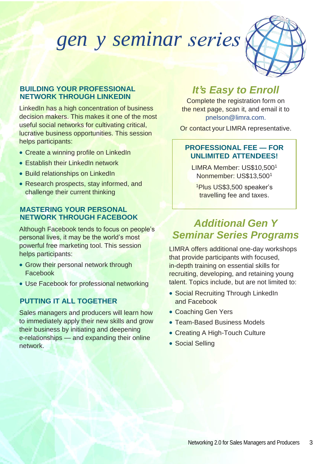## *gen y seminar*



#### **BUILDING YOUR PROFESSIONAL NETWORK THROUGH LINKEDIN**

LinkedIn has a high concentration of business decision makers. This makes it one of the most useful social networks for cultivating critical, lucrative business opportunities. This session helps participants:

- Create a winning profile on LinkedIn
- **Establish their LinkedIn network**
- Build relationships on LinkedIn
- Research prospects, stay informed, and challenge their current thinking

#### **MASTERING YOUR PERSONAL NETWORK THROUGH FACEBOOK**

Although Facebook tends to focus on people's personal lives, it may be the world's most powerful free marketing tool. This session helps participants:

- Grow their personal network through Facebook
- Use Facebook for professional networking

#### **PUTTING IT ALL TOGETHER**

Sales managers and producers will learn how to immediately apply their new skills and grow their business by initiating and deepening e-relationships — and expanding their online network.

### *It's Easy to Enroll*

Complete the registration form on the next page, scan it, and email it to [pnelson@limra.com.](mailto:pnelson@limra.com)

Or contact your LIMRA representative.

#### **PROFESSIONAL FEE — FOR UNLIMITED ATTENDEES!**

LIMRA Member: US\$10,500<sup>1</sup> Nonmember: US\$13,500<sup>1</sup>

<sup>1</sup>Plus US\$3,500 speaker's travelling fee and taxes.

### *Additional Gen Y Seminar Series Programs*

LIMRA offers additional one-day workshops that provide participants with focused, in-depth training on essential skills for recruiting, developing, and retaining young talent. Topics include, but are not limited to:

- Social Recruiting Through LinkedIn and Facebook
- Coaching Gen Yers
- Team-Based Business Models
- Creating A High-Touch Culture
- Social Selling